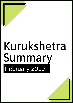# Kurukshetra Summary February 2019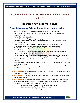# **K U R U K S HE T R A S U M M A R Y F E B R U A R Y 2 0 1 9**

## **Boosting Agricultural Growth**

## **Present Government's Contribution to Agriculture Sector**

- Budgetary allocation of **Rs. 2,11,694 crore** for agriculture from 2014-2019.
- Constitution of two corpus funds Micro Irrigation Fund and Diary Processing and Infrastructure Fund
- Approval of **PM-AASHA scheme**

**Clekr**

- Constitution of a **working group** by NITI Ayog
- Under **Pradhan Mantri Fasal Bima Yojana** payment of 25% of the loss claims is being made immediately.
- e-NAM portal was launched to bring transparency in the agriculture market sector.
- Promotion of organic farming under "**Paramparagat Krishi Vikas Yojana**"
- **Soil Health Scheme** is providing feedback to the farmers on the fertility of their agricultural land.
- Large scale activities under "**National Mission on Oilseed and Oil Palm**" to meet the requirement of edible oil in the country.
- **Agricultural Mechanization Promotion Scheme** has been launched in Punjab, Haryana, Uttar Pradesh and NCR to decrease cost of farming and increase crop yield.
- **E-Pashudhan Haat Portal** has been set up to link breeders of native bovine breed and the farmers.
- **Deep Sea Fishing scheme** was launched to increase fish production by 2019-20 to the level of 15 million tonnes.
- **ARYA** has proved successful in making agriculture an attractive occupation for youth
- **Rural Entrepreneurship Awareness scheme** has been launched for students.
- **Fact Box:** At present the number of livestock in India is around 30 crore which of 18% of the livestock in the world.
- **Fact Box:** India is at the first place in milk production and contributes 19% of the world's total milk production
- **Fact Box:** It is an annual exercise that the Commission for Agricultural Costs and Prices announces the minimum support prices of two dozen of crops, but only four are being procured by the Government at those announced prices.
	- Wheat and Paddy are procured by Food Corporation of India
	- Sugarcane is procured by Sugar Mills of the state
	- Cotton is procured by Cotton Corporation of India.

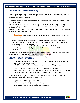## **New Crop Procurement Policy**

**Clekr**

The new procurement policy was announced by the central government would help mitigating the uncertainty as well as the fear of volatile and unvafovourable prices of crops. In this policy, three alternatives have been suggested:

(i) Additional crops will be procured by the central government with partnership of the concerned state government.

(ii) The seller of the crops would be paid the balance of Minimum Support Price and the market price by the government, but the farmers would have to register themselves with the regulated market of the area.

(iii) The private traders can procure those products but those traders would have to pay the MSP as announced by the central government.

- **Fact Box:** Agriculture sector in India accounted for 14.8% of the GDP at 2011-12 prices in 2017-18
- National Youth and Parliament Festival2019 was launched on 12th January 2019 by the Minister of State for Youth Affairs and Sports col. Rajyavardhan Singh Rathore to begin the celebration of the National Youth Day.
- It was organized on the theme "Find Solutions and Contribute to Policy".
- Youth in the age bracket of 18-25 years are invited to participate in the district youth parliaments.

*Government of India, with its commitment to double farmers' income by 2022 launched several new and innovative initiatives to accelerate agricultural growth rate sustainably.*

## **New Varieties, New Hopes**

- ICAR developed and released a total of 796 new crop varieties during last four years and 136 varieties of horticultural crops.
- HD CSW-18 (wheat) will reduce the water requirement and will help in residue management.
- Virat is an extra early (52-55 days) high protein variety to of Mungbean.
- Eight GM Bt Cotton varieties were developed for commercial cultivation. These varities are tolerant to cotton bollworm and its seeds can be used by farmers for 2-3 years.

*To fight against malnutrition through agricultural research, an array of biofortified crops and horticultural crops have been developed. For instance:*

- Rice variety **CR Dhan 310** is protein rich.
- Wheat **HPBW01** carries high iron and zince.
- Pomegranate **"Solapur Lal"** has iron, zinc and vitamin C
- **Medika Grape** is full of anti-oxidants that help fight cancer.

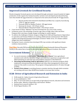## **Improved Livestock for Livelihood Security**

Breeds of popular livestock species were developed through systematic research mainly for higher production. In this regard, four backyard poultry varieties were developed and released having more than double the egg production as compared to the native/local breeds 50-70 eggs/annum.

- Jharsim poultry bird released for Jharkhand and Bihar has a capacity of producing 1230-13- eggs per annum.
- Narmada Nidhi for Madhya Pradesh- 180 eggs/annum
- Kamrupa for Assam 118-130 per annum
- Himsamridhi for Himachal Pradesh- 140/150 per annum
- A new breed of sheep "Abhishan" has been developed for dry areas of the country.
- In fisheries sector, the technology of marine cage culure of high-value Cobia and Silver Pompano fish is proving a change changer technology in coastal regions.
- To address the challenge of climate change at village level, ICAR and Department of Agriculture Co-operation and Farmers Welfare are working collaboratively to demonstrate 100 climate resilient and integrated farming technologies at farmers' fields. So far, 151 climate resilient villages have been established.
- During last 4 years, scientists have developed 490 crop varieties with significant climate resilience characteristics.

**Fact Box:** Recently PM Narendra Modi dedicated the Nanaji Deshmukh National Phenomics Facility to the nation that is located at the Indian Agricultural Research Institute, New Delhi

## **Government Scheme:**

**Clekr**

- In a novel extension scheme named, **" Mera Gaon Mera Gaurav",** four agricultural scientists work with five identified villages and share their experience on agriculture and allied enterprises to solve the issue and problems of farmers at the field level.
- **Attracting and Retaining Youth in Agriculture** (ARYA) is an extension program which emphasizes entrepreneurship development and value chain management to attract and empower the youth in rural areas. The program is being implemented in 25 states through 25 KVKs.
- **Farmers First scheme** is enriching farmers-scientists interface through which scientists are working with more than 48,000 farm families to increase their income.

## **ICAR- Driver of Agricultural Research and Extension in India**

- $\triangleright$  ICAR stands for-Indian Council of Agricultural Research
- $\triangleright$  It was established in-1929
- Why- To serve the nation as an apex body of agricultural research, education and extension.
- Works under- Ministry of Agriculture and Farmers' Welfare
- $\triangleright$  National level research institure: 101
- $\triangleright$  Krishi Vigyan Kendras- 692

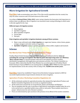## **Micro-Irrigation for Agricultural Growth**

**Fact Box:** India accommodates more than 17% of the world's population but the country has only 4% water resources and 2.5% land resources of the world.

*According to National Water Policy 2012, water saving irrigation has been given vital importance to achieve water use efficiency. Micro irrigation is an innovative water saving technology in which water is directly supplied to the crops.*

#### **Different types of irrigation system:**

- $\triangleright$  Drip irrigation
- $\triangleright$  Sprinkler irrigation
- $\triangleright$  Micro sprinkler irrigation
- $\triangleright$  Porous pipe
- $\triangleright$  Rain gun

**Clekr**

#### **Drip irrigation and sprinkler irrigation dominate among all these systems.**

- Major crops cultivated under **drip irrigation** are: sugarcane, banana, cotton, lemon, grapes, oranges, mangoes and wide variety of vegetables.
- **Sprinkler irrigation** system is used for groundnut, wheat, millet, sorghum and mustard.

## **Scheme**

#### **Har Khet ko Pani "Prime Minister Krishi Sinchayee Yojana"**

Pradhan Mantri Krishi Sinchayee Yojana (PMKSY) has been formulated with the **vision of extending the coverage of irrigation 'Har Khet ko pani' and improving water use efficiency 'More crop per drop'** in a focused manner with end to end solution on source creation, distribution, management, field application and extension activities. The Cabinet Committee on Economic Affairs chaired by Hon'ble Prime Minister has accorded approval of Pradhan Mantri Krishi Sinchayee Yojana (PMKSY) in its meeting held on **1st July, 2015**. PMKSY has been approved for implementation across the country with an outlay of Rs**. 50,000 crore in five years**.

**Fact Box:** Gujarat has established "Gujarat Green Revolution Company Limited in 2005 for successful implementation of government schemes for micro irrigation.

#### **Agriculture Produce Marketing Committee Regulation Act**

- $\triangleright$  All the wholesale markets for agricultural produce that adopted the Agricultural Produce and Market Committee Regulation Act are terms as regulated markets.
- $\triangleright$  All the states have enacted the act except Kerala, Jammu and Kashmir and Manipur.
- $\triangleright$  The act mandates that the sale or purchase of agricultural commodities notified under the act is to be carried out in a specified market areas, yards or sub-yards. These markets must have a proper infrastructure for sale of farmers' produce.
- $\triangleright$  Prices are determined by open auctions in the presence of an official of the market committee.

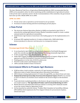The Inter-Ministerial Task Force of Agricultural Marketing Reforms 2002 recommended that the APMC act be amended to allow for direct marketing and the establishment of agricultural markets in the private and co-operative sectors. On the recommendations of the committee, the government had come up with a Model APMC Act in 2003.

#### **APMC Act 2003**

**Clekr**

- $\triangleright$  Private sector and co-operatives can be licensed to set up markets
- $\triangleright$  Provision of contact farming and direct marketing by private players

## **e-Nam Portal**

- $\triangleright$  The electronic National Agriculture Market (e-NAM) was launched in April 2016. It networks the existing Agricultural Produce Market Committees mandis to create a unified national market for agricultural commodities.
- Small Farmers Agri-business Consortium is the leading agency for the implementation of e-NAM.
- $\triangleright$  At present 585 regulated markets in 14 states ae linked with e-NAM which helps farmers/producers to discover real-time price in a transparent manner.

## **Scheme**

#### **Paramparagat Krishi Vikas Yojana**

- It was launched in April 2015 as an elaborated component of Soil Health Management under the centrally sponsored scheme, National Mission on Sustainable Agriculture.
- $\triangleright$  It aims at supporting and promoting organic farming.
- Under PKVY Organic farming is promoted through adoption of organic village by cluster approach and PGS (Participatory Guarantee System) certification.
- $\triangleright$  Funding pattern is in the ratio of 60:40 in plain areas
- $\geq 90:10$  for north eastern and Himalayan states
- $\geq 100\%$  centrally funded in Union Territories

## **Government Efforts to Promote Agri-Business**

- $\triangleright$  ICAR has taken a lead to initiate a network of 25 agri-business incubation centres in differences states of under National Agriculture Innovation Fund scheme.
- $\triangleright$  ARYA Scheme is being implemented in 25 states through KVKs, one district from each state.
- **Student Rural Entrepreneurship Awareness Development Yojana** (READY) was started in 2015-16 which is an essential course module for the award of degree at the bachelors level.
- $\triangleright$  To provide better marketing facilities to the farmers, the government has come out with a new model named as "**The Agricultural Produce and Livestock Marketing Act 2017.**
- $\triangleright$  Market Research and Information Network scheme is covering 3355 wholesale mandis across the country linked to Agmarknet Portal.
- $\triangleright$  GoI has launched an umbrella scheme "Pradhan Matri Annadata Ay SanrakShan Abhiyan (PM-AASHA) which implements the Price Support Scheme for procurement of pulses, oilseed and copra

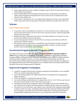- $\triangleright$  GoI has approved the increase in MSPs for all Rabi crops for 2018-19 at the level of at least 150% of the cost production.
- $\triangleright$  Under Pradhan Mantri Kisan Sampada Yojana promotion, modernization and capacity enhancement of food processing industries in the country has been initated with a total allocation of Rs. 6000 crore
- $\triangleright$  A new scheme "Operation Green" for integrated development of tomato, onion and potato (TOP) crops value chain was launched in November 2018 with an outlay of Rs. 500 crore

## **Scheme**

**Clekr**

#### **Interest Subvention Scheme**

- $\triangleright$  To provide credit at reasonable rate of interest at 7% to the farmers, GoI is implementing Interest Subvention Scheme of 2% for short-term crop loans upto Rs. 3 lakh through public and private sector banks.
- $\triangleright$  Besides 2% interest subvention, the farmers on prompt repayment of crop loans are also provided 3% additional interest subvention.
- $\triangleright$  In case of prompt payee farmers, the short term crop loans are provided at an effective interest rate of 4% per annum.
- $\triangleright$  The benefit of interest subvention is extended for a period of upto 6 months to small and marginal farmers having KCC on loan against negotiable warehouse receipts with the purpose of preventing distress sale of produce.

## **Accelerated Irrigation Benefit Program (AIBP)**

The Union Government launched the Accelerated **Irrigation Benefits Programme (AIBP) in 1996-97** for providing financial assistance, to expedite completion of ongoing Major/Medium Irrigation (MMI) including Extension, Renovation and Modernization (ERM) of irrigation projects and Surface Minor Irrigation schemes, as well as Lift Irrigation Schemes(LIS). Recently the government improved the program and prioritized 99 irrigation projects which were supposed to be completed by December 2019. This program is now included under the Pradhan Mantri Krishi Sinchayee Yojana and is being monitored regularly.

## **Improved Irrigation Techniques**

- $\triangleright$  A number of simple and innovative irrigation management technologies are now available which can accelerate agricultural growth:
- $\triangleright$  Laser land leveling replaces the inefficient operations of traditional soil scrapping after tillage operations.
- $\triangleright$  Famer eye judgment is replaced by sharp laser beam.
- $\triangleright$  Laser land leveling considerably lowers irrigation time for rice by 47-69 hours per hectare per season and for wheat by 10-12 hours ber ha per season.
- $\triangleright$  Permanent raised beds are suitable for regions with higher and uncertain rainfalls, heavy soil, wide thermal variations and farming system requiring shorter crop turn-around time
- $\triangleright$  Successful rice crop with lesser water inputs can be cultivated with raising the bund heights to capture all the rain water, scheduling irrigation through "Alternate Wetting and Drying" where irrigation is provided only after all the standing water has disappeared, delayed transplanting of paddy (beyond 10 june) so as to synchronize with onset of monsoon.